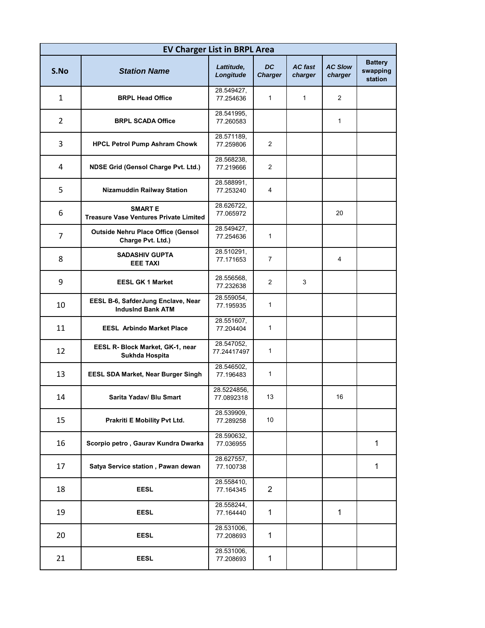| <b>EV Charger List in BRPL Area</b> |                                                                 |                           |                             |                           |                           |                                       |  |  |  |  |
|-------------------------------------|-----------------------------------------------------------------|---------------------------|-----------------------------|---------------------------|---------------------------|---------------------------------------|--|--|--|--|
| S.No                                | <b>Station Name</b>                                             | Lattitude,<br>Longitude   | <b>DC</b><br><b>Charger</b> | <b>AC</b> fast<br>charger | <b>AC Slow</b><br>charger | <b>Battery</b><br>swapping<br>station |  |  |  |  |
| 1                                   | <b>BRPL Head Office</b>                                         | 28.549427,<br>77.254636   | $\mathbf{1}$                | $\mathbf{1}$              | $\overline{2}$            |                                       |  |  |  |  |
| $\overline{2}$                      | <b>BRPL SCADA Office</b>                                        | 28.541995,<br>77.260583   |                             |                           | $\mathbf{1}$              |                                       |  |  |  |  |
| 3                                   | <b>HPCL Petrol Pump Ashram Chowk</b>                            | 28.571189,<br>77.259806   | 2                           |                           |                           |                                       |  |  |  |  |
| 4                                   | <b>NDSE Grid (Gensol Charge Pvt. Ltd.)</b>                      | 28.568238,<br>77.219666   | 2                           |                           |                           |                                       |  |  |  |  |
| 5                                   | Nizamuddin Railway Station                                      | 28.588991,<br>77.253240   | 4                           |                           |                           |                                       |  |  |  |  |
| 6                                   | <b>SMART E</b><br><b>Treasure Vase Ventures Private Limited</b> | 28.626722,<br>77.065972   |                             |                           | 20                        |                                       |  |  |  |  |
| $\overline{7}$                      | <b>Outside Nehru Place Office (Gensol</b><br>Charge Pvt. Ltd.)  | 28.549427,<br>77.254636   | $\mathbf{1}$                |                           |                           |                                       |  |  |  |  |
| 8                                   | <b>SADASHIV GUPTA</b><br><b>EEE TAXI</b>                        | 28.510291,<br>77.171653   | 7                           |                           | 4                         |                                       |  |  |  |  |
| 9                                   | <b>EESL GK 1 Market</b>                                         | 28.556568,<br>77.232638   | $\overline{2}$              | 3                         |                           |                                       |  |  |  |  |
| 10                                  | EESL B-6, SafderJung Enclave, Near<br><b>IndusInd Bank ATM</b>  | 28.559054,<br>77.195935   | $\mathbf{1}$                |                           |                           |                                       |  |  |  |  |
| 11                                  | <b>EESL Arbindo Market Place</b>                                | 28.551607,<br>77.204404   | 1                           |                           |                           |                                       |  |  |  |  |
| 12                                  | EESL R- Block Market, GK-1, near<br>Sukhda Hospita              | 28.547052,<br>77.24417497 | $\mathbf{1}$                |                           |                           |                                       |  |  |  |  |
| 13                                  | <b>EESL SDA Market, Near Burger Singh</b>                       | 28.546502,<br>77.196483   | $\mathbf{1}$                |                           |                           |                                       |  |  |  |  |
| 14                                  | Sarita Yadav/ Blu Smart                                         | 28.5224856,<br>77.0892318 | 13                          |                           | 16                        |                                       |  |  |  |  |
| 15                                  | Prakriti E Mobility Pvt Ltd.                                    | 28.539909,<br>77.289258   | 10                          |                           |                           |                                       |  |  |  |  |
| 16                                  | Scorpio petro, Gaurav Kundra Dwarka                             | 28.590632,<br>77.036955   |                             |                           |                           | $\mathbf{1}$                          |  |  |  |  |
| 17                                  | Satya Service station, Pawan dewan                              | 28.627557,<br>77.100738   |                             |                           |                           | 1                                     |  |  |  |  |
| 18                                  | <b>EESL</b>                                                     | 28.558410,<br>77.164345   | $\overline{2}$              |                           |                           |                                       |  |  |  |  |
| 19                                  | <b>EESL</b>                                                     | 28.558244,<br>77.164440   | $\mathbf 1$                 |                           | 1                         |                                       |  |  |  |  |
| 20                                  | <b>EESL</b>                                                     | 28.531006,<br>77.208693   | $\mathbf 1$                 |                           |                           |                                       |  |  |  |  |
| 21                                  | <b>EESL</b>                                                     | 28.531006,<br>77.208693   | $\mathbf{1}$                |                           |                           |                                       |  |  |  |  |